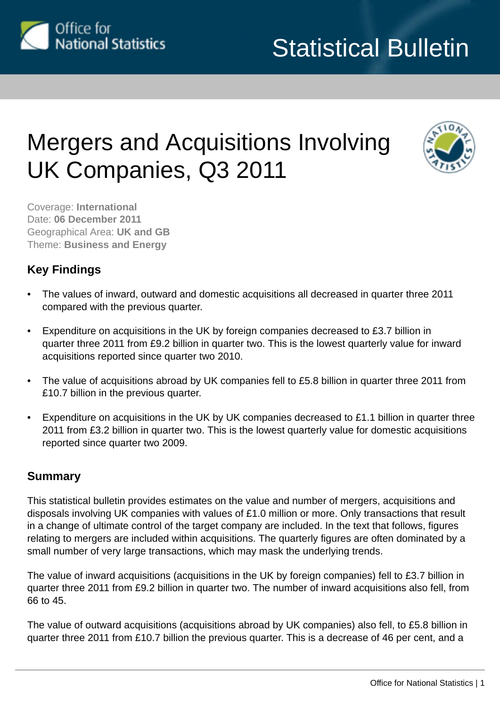

# Mergers and Acquisitions Involving UK Companies, Q3 2011



Coverage: **International** Date: **06 December 2011** Geographical Area: **UK and GB** Theme: **Business and Energy**

## **Key Findings**

- The values of inward, outward and domestic acquisitions all decreased in quarter three 2011 compared with the previous quarter.
- Expenditure on acquisitions in the UK by foreign companies decreased to £3.7 billion in quarter three 2011 from £9.2 billion in quarter two. This is the lowest quarterly value for inward acquisitions reported since quarter two 2010.
- The value of acquisitions abroad by UK companies fell to £5.8 billion in quarter three 2011 from £10.7 billion in the previous quarter.
- Expenditure on acquisitions in the UK by UK companies decreased to £1.1 billion in quarter three 2011 from £3.2 billion in quarter two. This is the lowest quarterly value for domestic acquisitions reported since quarter two 2009.

## **Summary**

This statistical bulletin provides estimates on the value and number of mergers, acquisitions and disposals involving UK companies with values of £1.0 million or more. Only transactions that result in a change of ultimate control of the target company are included. In the text that follows, figures relating to mergers are included within acquisitions. The quarterly figures are often dominated by a small number of very large transactions, which may mask the underlying trends.

The value of inward acquisitions (acquisitions in the UK by foreign companies) fell to £3.7 billion in quarter three 2011 from £9.2 billion in quarter two. The number of inward acquisitions also fell, from 66 to 45.

The value of outward acquisitions (acquisitions abroad by UK companies) also fell, to £5.8 billion in quarter three 2011 from £10.7 billion the previous quarter. This is a decrease of 46 per cent, and a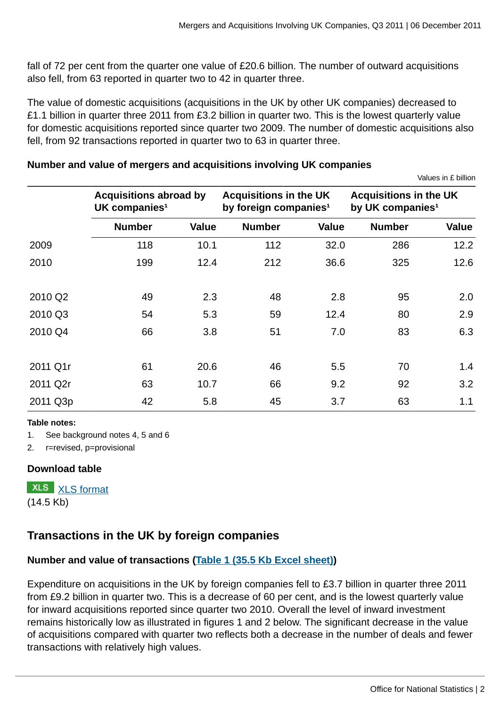fall of 72 per cent from the quarter one value of £20.6 billion. The number of outward acquisitions also fell, from 63 reported in quarter two to 42 in quarter three.

The value of domestic acquisitions (acquisitions in the UK by other UK companies) decreased to £1.1 billion in quarter three 2011 from £3.2 billion in quarter two. This is the lowest quarterly value for domestic acquisitions reported since quarter two 2009. The number of domestic acquisitions also fell, from 92 transactions reported in quarter two to 63 in quarter three.

## **Number and value of mergers and acquisitions involving UK companies**

| Values in £ billion |  |  |
|---------------------|--|--|

|          | <b>Acquisitions abroad by</b><br>UK companies <sup>1</sup> |              | <b>Acquisitions in the UK</b><br>by foreign companies <sup>1</sup> |              | <b>Acquisitions in the UK</b><br>by UK companies <sup>1</sup> |              |
|----------|------------------------------------------------------------|--------------|--------------------------------------------------------------------|--------------|---------------------------------------------------------------|--------------|
|          | <b>Number</b>                                              | <b>Value</b> | <b>Number</b>                                                      | <b>Value</b> | <b>Number</b>                                                 | <b>Value</b> |
| 2009     | 118                                                        | 10.1         | 112                                                                | 32.0         | 286                                                           | 12.2         |
| 2010     | 199                                                        | 12.4         | 212                                                                | 36.6         | 325                                                           | 12.6         |
| 2010 Q2  | 49                                                         | 2.3          | 48                                                                 | 2.8          | 95                                                            | 2.0          |
| 2010 Q3  | 54                                                         | 5.3          | 59                                                                 | 12.4         | 80                                                            | 2.9          |
| 2010 Q4  | 66                                                         | 3.8          | 51                                                                 | 7.0          | 83                                                            | 6.3          |
| 2011 Q1r | 61                                                         | 20.6         | 46                                                                 | 5.5          | 70                                                            | 1.4          |
| 2011 Q2r | 63                                                         | 10.7         | 66                                                                 | 9.2          | 92                                                            | 3.2          |
| 2011 Q3p | 42                                                         | 5.8          | 45                                                                 | 3.7          | 63                                                            | 1.1          |

#### **Table notes:**

1. See background notes 4, 5 and 6

2. r=revised, p=provisional

## **Download table**

**XLS** [XLS format](http://www.ons.gov.uk:80/ons/rel/international-transactions/mergers-and-acquisitions-involving-uk-companies/q3-2011/prt-ma-summary.xls) (14.5 Kb)

## **Transactions in the UK by foreign companies**

## **Number and value of transactions ([Table 1 \(35.5 Kb Excel sheet\)\)](http://www.ons.gov.uk:80/ons/rel/international-transactions/mergers-and-acquisitions-involving-uk-companies/q3-2011/rft-am-table01.xls)**

Expenditure on acquisitions in the UK by foreign companies fell to £3.7 billion in quarter three 2011 from £9.2 billion in quarter two. This is a decrease of 60 per cent, and is the lowest quarterly value for inward acquisitions reported since quarter two 2010. Overall the level of inward investment remains historically low as illustrated in figures 1 and 2 below. The significant decrease in the value of acquisitions compared with quarter two reflects both a decrease in the number of deals and fewer transactions with relatively high values.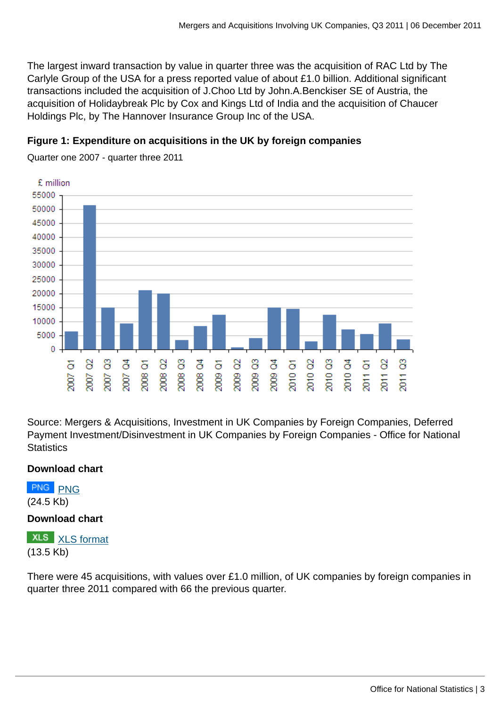The largest inward transaction by value in quarter three was the acquisition of RAC Ltd by The Carlyle Group of the USA for a press reported value of about £1.0 billion. Additional significant transactions included the acquisition of J.Choo Ltd by John.A.Benckiser SE of Austria, the acquisition of Holidaybreak Plc by Cox and Kings Ltd of India and the acquisition of Chaucer Holdings Plc, by The Hannover Insurance Group Inc of the USA.

## **Figure 1: Expenditure on acquisitions in the UK by foreign companies**

Quarter one 2007 - quarter three 2011



Source: Mergers & Acquisitions, Investment in UK Companies by Foreign Companies, Deferred Payment Investment/Disinvestment in UK Companies by Foreign Companies - Office for National **Statistics** 

## **Download chart**

[PNG](http://www.ons.gov.uk:80/ons/rel/international-transactions/mergers-and-acquisitions-involving-uk-companies/q3-2011/lct-inward-values.png) PNG

(24.5 Kb)

## **Download chart**

**XLS** [XLS format](http://www.ons.gov.uk:80/ons/rel/international-transactions/mergers-and-acquisitions-involving-uk-companies/q3-2011/chd-inward-values.xls) (13.5 Kb)

There were 45 acquisitions, with values over £1.0 million, of UK companies by foreign companies in quarter three 2011 compared with 66 the previous quarter.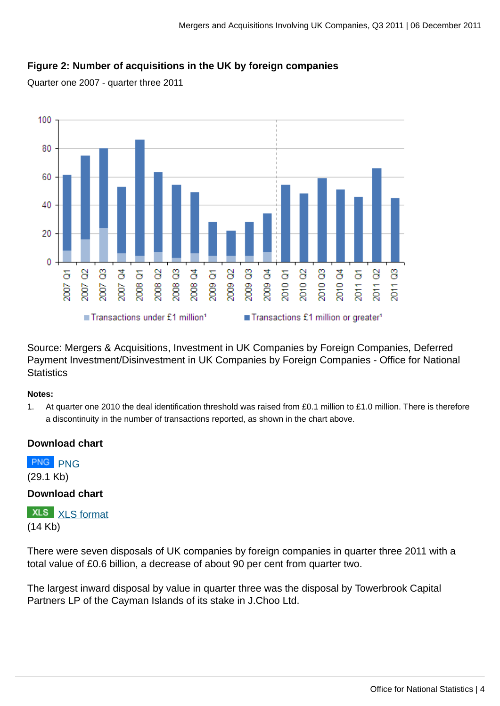## **Figure 2: Number of acquisitions in the UK by foreign companies**

Quarter one 2007 - quarter three 2011



Source: Mergers & Acquisitions, Investment in UK Companies by Foreign Companies, Deferred Payment Investment/Disinvestment in UK Companies by Foreign Companies - Office for National **Statistics** 

#### **Notes:**

1. At quarter one 2010 the deal identification threshold was raised from £0.1 million to £1.0 million. There is therefore a discontinuity in the number of transactions reported, as shown in the chart above.

## **Download chart**

[PNG](http://www.ons.gov.uk:80/ons/rel/international-transactions/mergers-and-acquisitions-involving-uk-companies/q3-2011/lct-inward-numbers.png) PNG (29.1 Kb)

**Download chart**

**XLS** [XLS format](http://www.ons.gov.uk:80/ons/rel/international-transactions/mergers-and-acquisitions-involving-uk-companies/q3-2011/chd-inward-numbers.xls) (14 Kb)

There were seven disposals of UK companies by foreign companies in quarter three 2011 with a total value of £0.6 billion, a decrease of about 90 per cent from quarter two.

The largest inward disposal by value in quarter three was the disposal by Towerbrook Capital Partners LP of the Cayman Islands of its stake in J.Choo Ltd.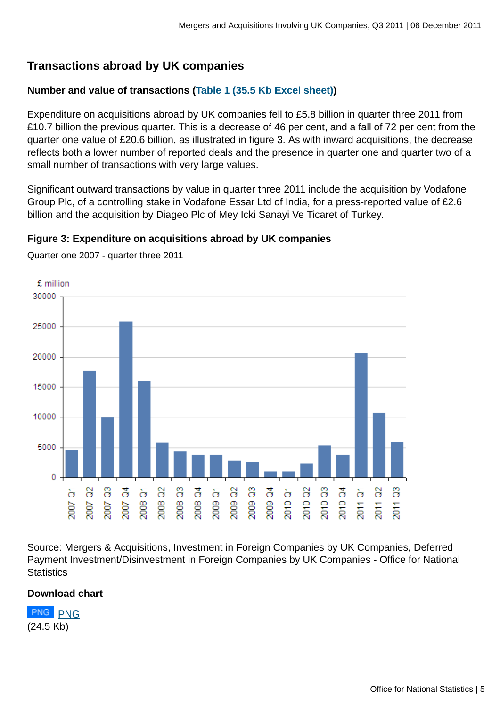## **Transactions abroad by UK companies**

## **Number and value of transactions ([Table 1 \(35.5 Kb Excel sheet\)\)](http://www.ons.gov.uk:80/ons/rel/international-transactions/mergers-and-acquisitions-involving-uk-companies/q3-2011/rft-am-table01.xls)**

Expenditure on acquisitions abroad by UK companies fell to £5.8 billion in quarter three 2011 from £10.7 billion the previous quarter. This is a decrease of 46 per cent, and a fall of 72 per cent from the quarter one value of £20.6 billion, as illustrated in figure 3. As with inward acquisitions, the decrease reflects both a lower number of reported deals and the presence in quarter one and quarter two of a small number of transactions with very large values.

Significant outward transactions by value in quarter three 2011 include the acquisition by Vodafone Group Plc, of a controlling stake in Vodafone Essar Ltd of India, for a press-reported value of £2.6 billion and the acquisition by Diageo Plc of Mey Icki Sanayi Ve Ticaret of Turkey.

## **Figure 3: Expenditure on acquisitions abroad by UK companies**



Quarter one 2007 - quarter three 2011

Source: Mergers & Acquisitions, Investment in Foreign Companies by UK Companies, Deferred Payment Investment/Disinvestment in Foreign Companies by UK Companies - Office for National **Statistics** 

## **Download chart**

[PNG](http://www.ons.gov.uk:80/ons/rel/international-transactions/mergers-and-acquisitions-involving-uk-companies/q3-2011/lct-outward-values.png) PNG (24.5 Kb)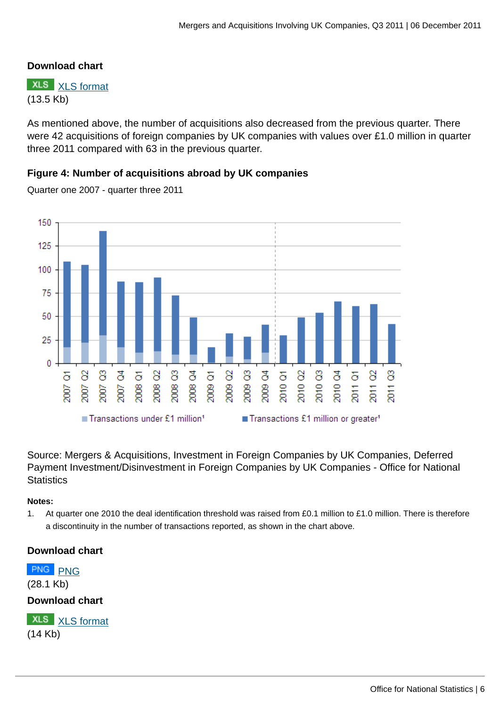## **Download chart**

**XLS** [XLS format](http://www.ons.gov.uk:80/ons/rel/international-transactions/mergers-and-acquisitions-involving-uk-companies/q3-2011/chd-outward-values.xls) (13.5 Kb)

As mentioned above, the number of acquisitions also decreased from the previous quarter. There were 42 acquisitions of foreign companies by UK companies with values over £1.0 million in quarter three 2011 compared with 63 in the previous quarter.

## **Figure 4: Number of acquisitions abroad by UK companies**

150 125 100 75 50 25  $\Omega$ 2010 Q3 2009 Q3 2010<sub>02</sub> 2010<sub>Q4</sub> 8 8 है δ 8 8 ै δ 8 2009 Q4 δ  $\overline{\sigma}$ 8 δ  $2010$  $2011$  $\frac{1}{20}$ 2009 2008 2008 2008 2009  $\overline{5}$  $\overline{5}$ 2007 2008 2007 ■ Transactions under £1 million<sup>1</sup> Transactions £1 million or greater<sup>1</sup>

Quarter one 2007 - quarter three 2011

Source: Mergers & Acquisitions, Investment in Foreign Companies by UK Companies, Deferred Payment Investment/Disinvestment in Foreign Companies by UK Companies - Office for National **Statistics** 

#### **Notes:**

1. At quarter one 2010 the deal identification threshold was raised from £0.1 million to £1.0 million. There is therefore a discontinuity in the number of transactions reported, as shown in the chart above.

## **Download chart**

**[PNG](http://www.ons.gov.uk:80/ons/rel/international-transactions/mergers-and-acquisitions-involving-uk-companies/q3-2011/lct-outward-numbers.png)** PNG (28.1 Kb)

**Download chart**

**XLS** [XLS format](http://www.ons.gov.uk:80/ons/rel/international-transactions/mergers-and-acquisitions-involving-uk-companies/q3-2011/chd-outward-numbers.xls) (14 Kb)

8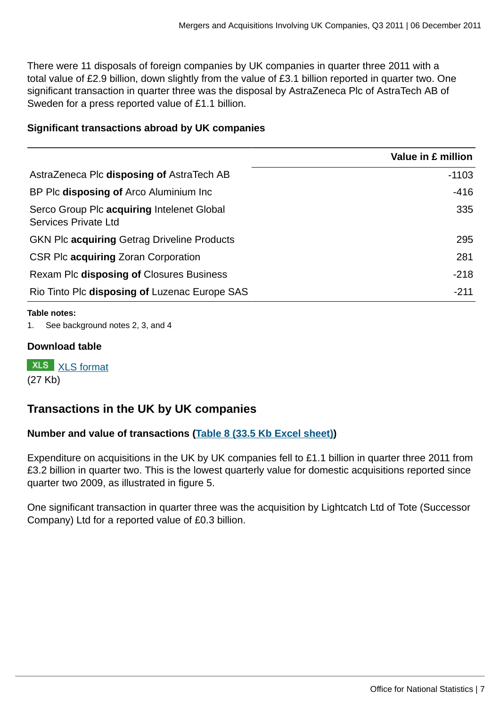There were 11 disposals of foreign companies by UK companies in quarter three 2011 with a total value of £2.9 billion, down slightly from the value of £3.1 billion reported in quarter two. One significant transaction in quarter three was the disposal by AstraZeneca Plc of AstraTech AB of Sweden for a press reported value of £1.1 billion.

#### **Significant transactions abroad by UK companies**

|                                                                    | Value in £ million |
|--------------------------------------------------------------------|--------------------|
| AstraZeneca Plc disposing of AstraTech AB                          | $-1103$            |
| BP Plc disposing of Arco Aluminium Inc                             | $-416$             |
| Serco Group Plc acquiring Intelenet Global<br>Services Private Ltd | 335                |
| <b>GKN Plc acquiring Getrag Driveline Products</b>                 | 295                |
| CSR Plc acquiring Zoran Corporation                                | 281                |
| Rexam Plc disposing of Closures Business                           | $-218$             |
| Rio Tinto Plc disposing of Luzenac Europe SAS                      | $-211$             |

#### **Table notes:**

1. See background notes 2, 3, and 4

#### **Download table**

**XLS** [XLS format](http://www.ons.gov.uk:80/ons/rel/international-transactions/mergers-and-acquisitions-involving-uk-companies/q3-2011/prt-outward-sign.xls) (27 Kb)

## **Transactions in the UK by UK companies**

## **Number and value of transactions ([Table 8 \(33.5 Kb Excel sheet\)\)](http://www.ons.gov.uk:80/ons/rel/international-transactions/mergers-and-acquisitions-involving-uk-companies/q3-2011/rft-am-table08.xls)**

Expenditure on acquisitions in the UK by UK companies fell to £1.1 billion in quarter three 2011 from £3.2 billion in quarter two. This is the lowest quarterly value for domestic acquisitions reported since quarter two 2009, as illustrated in figure 5.

One significant transaction in quarter three was the acquisition by Lightcatch Ltd of Tote (Successor Company) Ltd for a reported value of £0.3 billion.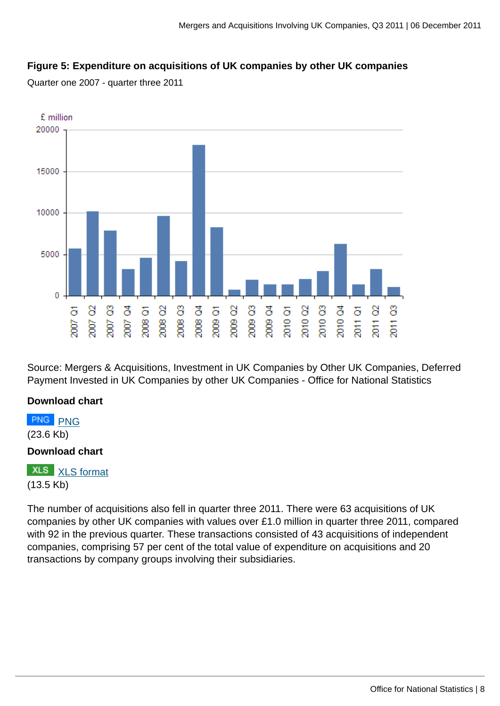## **Figure 5: Expenditure on acquisitions of UK companies by other UK companies**

Quarter one 2007 - quarter three 2011



Source: Mergers & Acquisitions, Investment in UK Companies by Other UK Companies, Deferred Payment Invested in UK Companies by other UK Companies - Office for National Statistics

## **Download chart**

**[PNG](http://www.ons.gov.uk:80/ons/rel/international-transactions/mergers-and-acquisitions-involving-uk-companies/q3-2011/lct-domestic-values.png)** PNG (23.6 Kb)

## **Download chart**

**XLS** [XLS format](http://www.ons.gov.uk:80/ons/rel/international-transactions/mergers-and-acquisitions-involving-uk-companies/q3-2011/chd-domestic-values.xls) (13.5 Kb)

The number of acquisitions also fell in quarter three 2011. There were 63 acquisitions of UK companies by other UK companies with values over £1.0 million in quarter three 2011, compared with 92 in the previous quarter. These transactions consisted of 43 acquisitions of independent companies, comprising 57 per cent of the total value of expenditure on acquisitions and 20 transactions by company groups involving their subsidiaries.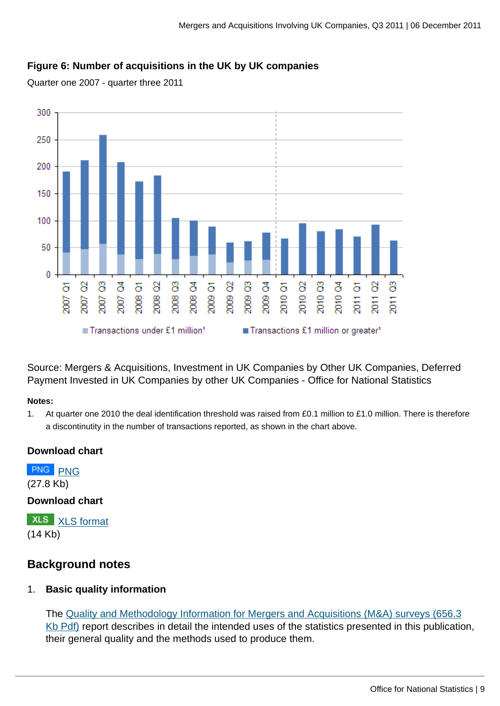## **Figure 6: Number of acquisitions in the UK by UK companies**

Quarter one 2007 - quarter three 2011



Source: Mergers & Acquisitions, Investment in UK Companies by Other UK Companies, Deferred Payment Invested in UK Companies by other UK Companies - Office for National Statistics

#### **Notes:**

1. At quarter one 2010 the deal identification threshold was raised from £0.1 million to £1.0 million. There is therefore a discontinutity in the number of transactions reported, as shown in the chart above.

## **Download chart**

[PNG](http://www.ons.gov.uk:80/ons/rel/international-transactions/mergers-and-acquisitions-involving-uk-companies/q3-2011/lct-domestic-numbers.png) PNG (27.8 Kb)

## **Download chart**

**XLS** [XLS format](http://www.ons.gov.uk:80/ons/rel/international-transactions/mergers-and-acquisitions-involving-uk-companies/q3-2011/chd-domestic-numbers.xls) (14 Kb)

## **Background notes**

## 1. **Basic quality information**

The [Quality and Methodology Information for Mergers and Acquisitions \(M&A\) surveys \(656.3](http://www.ons.gov.uk:80/ons/guide-method/method-quality/quality/quality-information/business-statistics/quality-and-methodology-information-for-mergers-and-acquisitions--m-a--surveys-releases.pdf) [Kb Pdf\)](http://www.ons.gov.uk:80/ons/guide-method/method-quality/quality/quality-information/business-statistics/quality-and-methodology-information-for-mergers-and-acquisitions--m-a--surveys-releases.pdf) report describes in detail the intended uses of the statistics presented in this publication, their general quality and the methods used to produce them.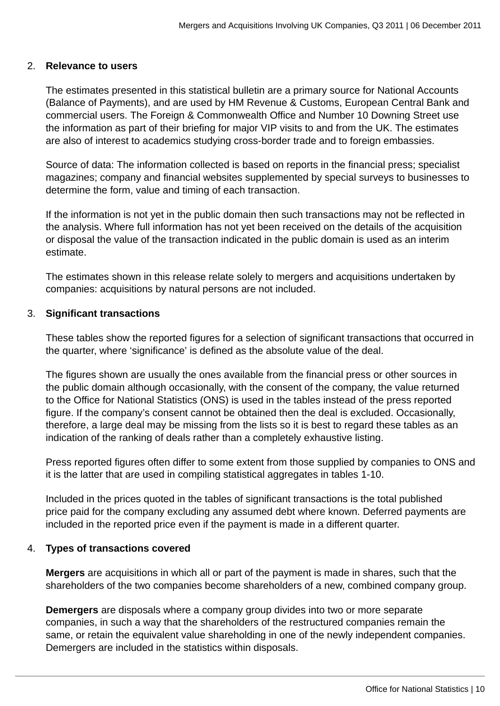#### 2. **Relevance to users**

The estimates presented in this statistical bulletin are a primary source for National Accounts (Balance of Payments), and are used by HM Revenue & Customs, European Central Bank and commercial users. The Foreign & Commonwealth Office and Number 10 Downing Street use the information as part of their briefing for major VIP visits to and from the UK. The estimates are also of interest to academics studying cross-border trade and to foreign embassies.

Source of data: The information collected is based on reports in the financial press; specialist magazines; company and financial websites supplemented by special surveys to businesses to determine the form, value and timing of each transaction.

If the information is not yet in the public domain then such transactions may not be reflected in the analysis. Where full information has not yet been received on the details of the acquisition or disposal the value of the transaction indicated in the public domain is used as an interim estimate.

The estimates shown in this release relate solely to mergers and acquisitions undertaken by companies: acquisitions by natural persons are not included.

#### 3. **Significant transactions**

These tables show the reported figures for a selection of significant transactions that occurred in the quarter, where 'significance' is defined as the absolute value of the deal.

The figures shown are usually the ones available from the financial press or other sources in the public domain although occasionally, with the consent of the company, the value returned to the Office for National Statistics (ONS) is used in the tables instead of the press reported figure. If the company's consent cannot be obtained then the deal is excluded. Occasionally, therefore, a large deal may be missing from the lists so it is best to regard these tables as an indication of the ranking of deals rather than a completely exhaustive listing.

Press reported figures often differ to some extent from those supplied by companies to ONS and it is the latter that are used in compiling statistical aggregates in tables 1-10.

Included in the prices quoted in the tables of significant transactions is the total published price paid for the company excluding any assumed debt where known. Deferred payments are included in the reported price even if the payment is made in a different quarter.

## 4. **Types of transactions covered**

**Mergers** are acquisitions in which all or part of the payment is made in shares, such that the shareholders of the two companies become shareholders of a new, combined company group.

**Demergers** are disposals where a company group divides into two or more separate companies, in such a way that the shareholders of the restructured companies remain the same, or retain the equivalent value shareholding in one of the newly independent companies. Demergers are included in the statistics within disposals.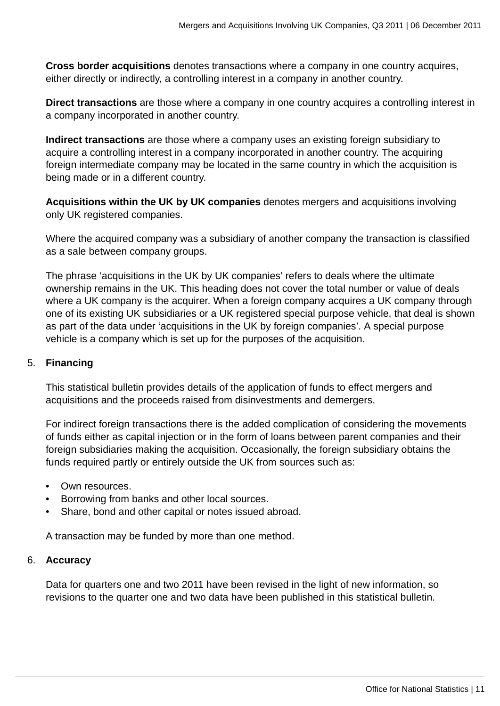**Cross border acquisitions** denotes transactions where a company in one country acquires, either directly or indirectly, a controlling interest in a company in another country.

**Direct transactions** are those where a company in one country acquires a controlling interest in a company incorporated in another country.

**Indirect transactions** are those where a company uses an existing foreign subsidiary to acquire a controlling interest in a company incorporated in another country. The acquiring foreign intermediate company may be located in the same country in which the acquisition is being made or in a different country.

**Acquisitions within the UK by UK companies** denotes mergers and acquisitions involving only UK registered companies.

Where the acquired company was a subsidiary of another company the transaction is classified as a sale between company groups.

The phrase 'acquisitions in the UK by UK companies' refers to deals where the ultimate ownership remains in the UK. This heading does not cover the total number or value of deals where a UK company is the acquirer. When a foreign company acquires a UK company through one of its existing UK subsidiaries or a UK registered special purpose vehicle, that deal is shown as part of the data under 'acquisitions in the UK by foreign companies'. A special purpose vehicle is a company which is set up for the purposes of the acquisition.

## 5. **Financing**

This statistical bulletin provides details of the application of funds to effect mergers and acquisitions and the proceeds raised from disinvestments and demergers.

For indirect foreign transactions there is the added complication of considering the movements of funds either as capital injection or in the form of loans between parent companies and their foreign subsidiaries making the acquisition. Occasionally, the foreign subsidiary obtains the funds required partly or entirely outside the UK from sources such as:

- Own resources.
- Borrowing from banks and other local sources.
- Share, bond and other capital or notes issued abroad.

A transaction may be funded by more than one method.

## 6. **Accuracy**

Data for quarters one and two 2011 have been revised in the light of new information, so revisions to the quarter one and two data have been published in this statistical bulletin.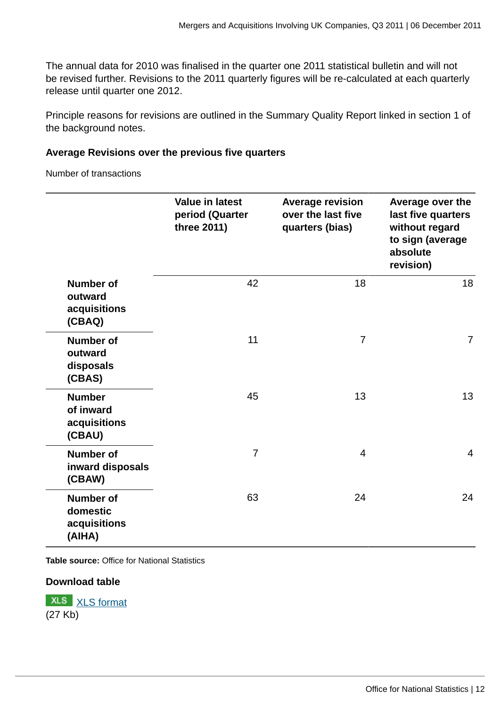The annual data for 2010 was finalised in the quarter one 2011 statistical bulletin and will not be revised further. Revisions to the 2011 quarterly figures will be re-calculated at each quarterly release until quarter one 2012.

Principle reasons for revisions are outlined in the Summary Quality Report linked in section 1 of the background notes.

## **Average Revisions over the previous five quarters**

Number of transactions

|                                                        | <b>Value in latest</b><br>period (Quarter<br>three 2011) | <b>Average revision</b><br>over the last five<br>quarters (bias) | Average over the<br>last five quarters<br>without regard<br>to sign (average<br>absolute<br>revision) |
|--------------------------------------------------------|----------------------------------------------------------|------------------------------------------------------------------|-------------------------------------------------------------------------------------------------------|
| <b>Number of</b><br>outward<br>acquisitions<br>(CBAQ)  | 42                                                       | 18                                                               | 18                                                                                                    |
| <b>Number of</b><br>outward<br>disposals<br>(CBAS)     | 11                                                       | $\overline{7}$                                                   | $\overline{7}$                                                                                        |
| <b>Number</b><br>of inward<br>acquisitions<br>(CBAU)   | 45                                                       | 13                                                               | 13                                                                                                    |
| <b>Number of</b><br>inward disposals<br>(CBAW)         | $\overline{7}$                                           | $\overline{4}$                                                   | $\overline{4}$                                                                                        |
| <b>Number of</b><br>domestic<br>acquisitions<br>(AIHA) | 63                                                       | 24                                                               | 24                                                                                                    |

**Table source:** Office for National Statistics

## **Download table**

**XLS** [XLS format](http://www.ons.gov.uk:80/ons/rel/international-transactions/mergers-and-acquisitions-involving-uk-companies/q3-2011/prt-revise-number.xls) (27 Kb)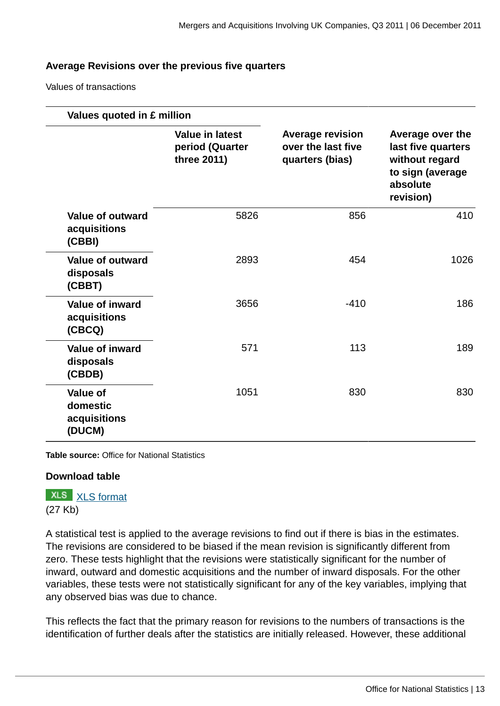#### **Average Revisions over the previous five quarters**

Values of transactions

|                                                       | Values quoted in £ million                               |                                                                  |                                                                                                       |
|-------------------------------------------------------|----------------------------------------------------------|------------------------------------------------------------------|-------------------------------------------------------------------------------------------------------|
|                                                       | <b>Value in latest</b><br>period (Quarter<br>three 2011) | <b>Average revision</b><br>over the last five<br>quarters (bias) | Average over the<br>last five quarters<br>without regard<br>to sign (average<br>absolute<br>revision) |
| <b>Value of outward</b><br>acquisitions<br>(CBBI)     | 5826                                                     | 856                                                              | 410                                                                                                   |
| <b>Value of outward</b><br>disposals<br>(CBBT)        | 2893                                                     | 454                                                              | 1026                                                                                                  |
| <b>Value of inward</b><br>acquisitions<br>(CBCQ)      | 3656                                                     | $-410$                                                           | 186                                                                                                   |
| <b>Value of inward</b><br>disposals<br>(CBDB)         | 571                                                      | 113                                                              | 189                                                                                                   |
| <b>Value of</b><br>domestic<br>acquisitions<br>(DUCM) | 1051                                                     | 830                                                              | 830                                                                                                   |

**Table source:** Office for National Statistics

## **Download table**

**XLS** [XLS format](http://www.ons.gov.uk:80/ons/rel/international-transactions/mergers-and-acquisitions-involving-uk-companies/q3-2011/prt-revisions--values.xls) (27 Kb)

A statistical test is applied to the average revisions to find out if there is bias in the estimates. The revisions are considered to be biased if the mean revision is significantly different from zero. These tests highlight that the revisions were statistically significant for the number of inward, outward and domestic acquisitions and the number of inward disposals. For the other variables, these tests were not statistically significant for any of the key variables, implying that any observed bias was due to chance.

This reflects the fact that the primary reason for revisions to the numbers of transactions is the identification of further deals after the statistics are initially released. However, these additional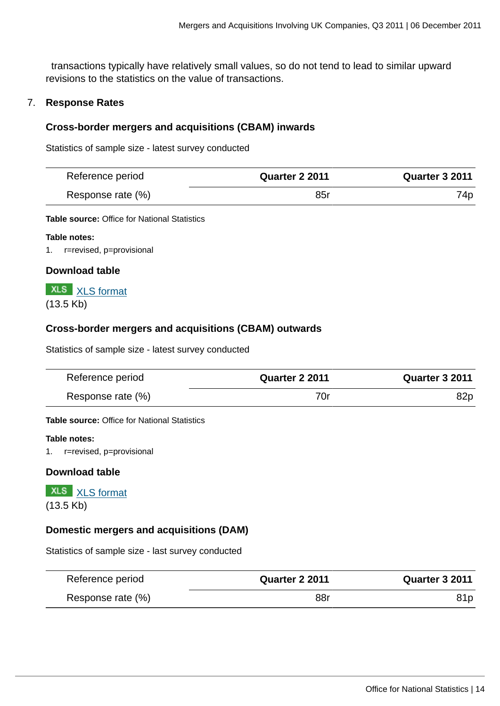transactions typically have relatively small values, so do not tend to lead to similar upward revisions to the statistics on the value of transactions.

#### 7. **Response Rates**

#### **Cross-border mergers and acquisitions (CBAM) inwards**

Statistics of sample size - latest survey conducted

| Reference period  | <b>Quarter 2 2011</b> | <b>Quarter 3 2011</b> |
|-------------------|-----------------------|-----------------------|
| Response rate (%) | 85r                   | 74p                   |

**Table source:** Office for National Statistics

#### **Table notes:**

1. r=revised, p=provisional

#### **Download table**



#### **Cross-border mergers and acquisitions (CBAM) outwards**

Statistics of sample size - latest survey conducted

| Reference period  | <b>Quarter 2 2011</b> | <b>Quarter 3 2011</b> |
|-------------------|-----------------------|-----------------------|
| Response rate (%) | 70r                   | 82p                   |

**Table source:** Office for National Statistics

#### **Table notes:**

1. r=revised, p=provisional

#### **Download table**

**XLS** [XLS format](http://www.ons.gov.uk:80/ons/rel/international-transactions/mergers-and-acquisitions-involving-uk-companies/q3-2011/prt-out-response.xls) (13.5 Kb)

#### **Domestic mergers and acquisitions (DAM)**

Statistics of sample size - last survey conducted

| Reference period  | <b>Quarter 2 2011</b> | <b>Quarter 3 2011</b> |
|-------------------|-----------------------|-----------------------|
| Response rate (%) | 88r                   |                       |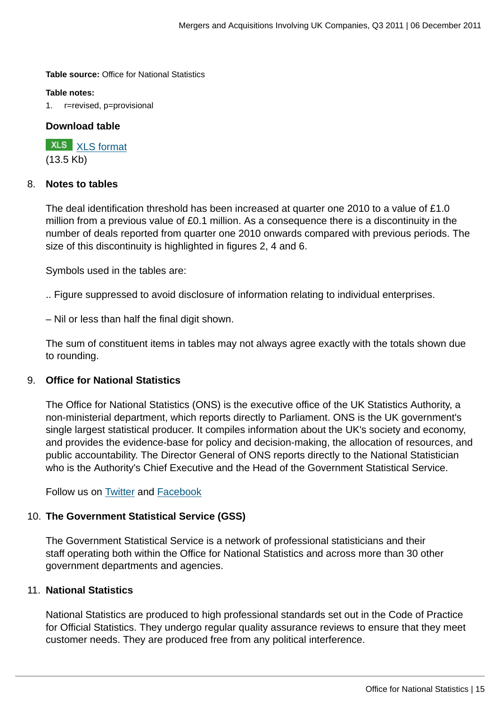**Table source:** Office for National Statistics

#### **Table notes:**

1. r=revised, p=provisional

## **Download table**

**XLS** [XLS format](http://www.ons.gov.uk:80/ons/rel/international-transactions/mergers-and-acquisitions-involving-uk-companies/q3-2011/prt-dam-response.xls) (13.5 Kb)

#### 8. **Notes to tables**

The deal identification threshold has been increased at quarter one 2010 to a value of £1.0 million from a previous value of £0.1 million. As a consequence there is a discontinuity in the number of deals reported from quarter one 2010 onwards compared with previous periods. The size of this discontinuity is highlighted in figures 2, 4 and 6.

Symbols used in the tables are:

.. Figure suppressed to avoid disclosure of information relating to individual enterprises.

– Nil or less than half the final digit shown.

The sum of constituent items in tables may not always agree exactly with the totals shown due to rounding.

## 9. **Office for National Statistics**

The Office for National Statistics (ONS) is the executive office of the UK Statistics Authority, a non-ministerial department, which reports directly to Parliament. ONS is the UK government's single largest statistical producer. It compiles information about the UK's society and economy, and provides the evidence-base for policy and decision-making, the allocation of resources, and public accountability. The Director General of ONS reports directly to the National Statistician who is the Authority's Chief Executive and the Head of the Government Statistical Service.

Follow us on **Twitter** and **Facebook** 

## 10. **The Government Statistical Service (GSS)**

The Government Statistical Service is a network of professional statisticians and their staff operating both within the Office for National Statistics and across more than 30 other government departments and agencies.

#### 11. **National Statistics**

National Statistics are produced to high professional standards set out in the Code of Practice for Official Statistics. They undergo regular quality assurance reviews to ensure that they meet customer needs. They are produced free from any political interference.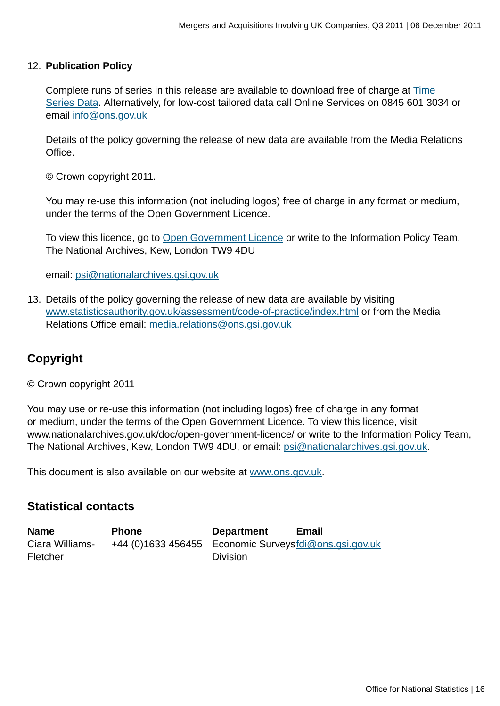#### 12. **Publication Policy**

Complete runs of series in this release are available to download free of charge at [Time](http://www.ons.gov.uk:80/ons) [Series Data](http://www.ons.gov.uk:80/ons). Alternatively, for low-cost tailored data call Online Services on 0845 601 3034 or email [info@ons.gov.uk](mailto:info@ons.gov.uk)

Details of the policy governing the release of new data are available from the Media Relations Office.

© Crown copyright 2011.

You may re-use this information (not including logos) free of charge in any format or medium, under the terms of the Open Government Licence.

To view this licence, go to [Open Government Licence](http://www.ons.gov.uk:80/ons/external-links/other-government-departments/national-archives/index.html) or write to the Information Policy Team, The National Archives, Kew, London TW9 4DU

email: [psi@nationalarchives.gsi.gov.uk](mailto:psi@nationalarchives.gsi.gov.uk)

13. Details of the policy governing the release of new data are available by visiting [www.statisticsauthority.gov.uk/assessment/code-of-practice/index.html](http://www.statisticsauthority.gov.uk/assessment/code-of-practice/index.html) or from the Media Relations Office email: [media.relations@ons.gsi.gov.uk](mailto:media.relations@ons.gsi.gov.uk)

## **Copyright**

© Crown copyright 2011

You may use or re-use this information (not including logos) free of charge in any format or medium, under the terms of the Open Government Licence. To view this licence, visit www.nationalarchives.gov.uk/doc/open-government-licence/ or write to the Information Policy Team, The National Archives, Kew, London TW9 4DU, or email: [psi@nationalarchives.gsi.gov.uk](mailto:psi@nationalarchives.gsi.gov.uk).

This document is also available on our website at [www.ons.gov.uk.](http://www.ons.gov.uk/)

## **Statistical contacts**

| <b>Name</b>     | <b>Phone</b>                                          | <b>Department</b> | Email |
|-----------------|-------------------------------------------------------|-------------------|-------|
| Ciara Williams- | +44 (0)1633 456455 Economic Surveysfdi@ons.gsi.gov.uk |                   |       |
| <b>Fletcher</b> |                                                       | <b>Division</b>   |       |